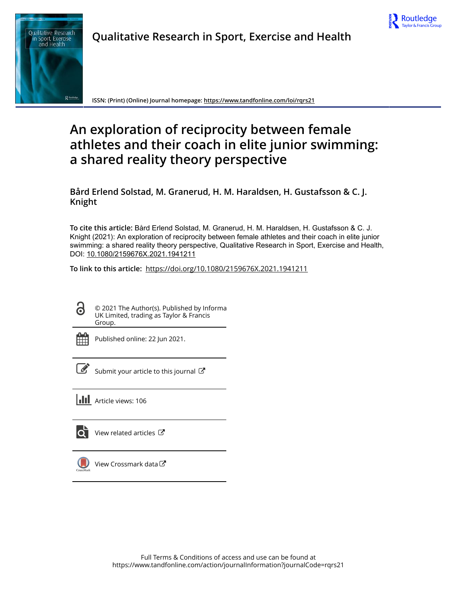

# **Qualitative Research in Sport, Exercise and Health**



**ISSN: (Print) (Online) Journal homepage:<https://www.tandfonline.com/loi/rqrs21>**

# **An exploration of reciprocity between female athletes and their coach in elite junior swimming: a shared reality theory perspective**

**Bård Erlend Solstad, M. Granerud, H. M. Haraldsen, H. Gustafsson & C. J. Knight**

**To cite this article:** Bård Erlend Solstad, M. Granerud, H. M. Haraldsen, H. Gustafsson & C. J. Knight (2021): An exploration of reciprocity between female athletes and their coach in elite junior swimming: a shared reality theory perspective, Qualitative Research in Sport, Exercise and Health, DOI: [10.1080/2159676X.2021.1941211](https://www.tandfonline.com/action/showCitFormats?doi=10.1080/2159676X.2021.1941211)

**To link to this article:** <https://doi.org/10.1080/2159676X.2021.1941211>

ര

© 2021 The Author(s). Published by Informa UK Limited, trading as Taylor & Francis Group.



Published online: 22 Jun 2021.

[Submit your article to this journal](https://www.tandfonline.com/action/authorSubmission?journalCode=rqrs21&show=instructions)  $\mathbb{Z}$ 

**Article views: 106** 



 $\overrightarrow{O}$  [View related articles](https://www.tandfonline.com/doi/mlt/10.1080/2159676X.2021.1941211)  $\overrightarrow{C}$ 



[View Crossmark data](http://crossmark.crossref.org/dialog/?doi=10.1080/2159676X.2021.1941211&domain=pdf&date_stamp=2021-06-22) $\sigma$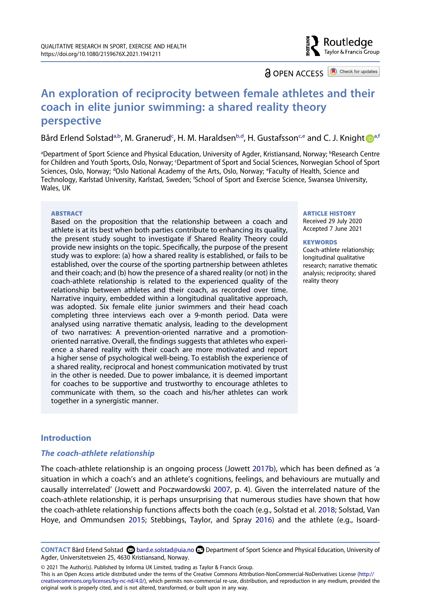# Routledae Taylor & Francis Group

**a** OPEN ACCESS **a** Check for updates

# **An exploration of reciprocity between female athletes and their coach in elite junior swimming: a shared reality theory perspective**

Bård Erlend Solstad<sup>a,b</sup>, M. Granerud<sup>[c](#page-1-1)</sup>, H. M. Haraldsen<sup>[b](#page-1-0),d</sup>, H. Gust[a](#page-1-0)fsson<sup>c,e</sup> and C. J. Knight **D**<sup>a[,f](#page-1-3)</sup>

<span id="page-1-3"></span><span id="page-1-2"></span><span id="page-1-1"></span><span id="page-1-0"></span><sup>a</sup>Department of Sport Science and Physical Education, University of Agder, Kristiansand, Norway; <sup>b</sup>Research Centre for Children and Youth Sports, Oslo, Norway; c Department of Sport and Social Sciences, Norwegian School of Sport Sciences, Oslo, Norway; <sup>d</sup>Oslo National Academy of the Arts, Oslo, Norway; <sup>e</sup>Faculty of Health, Science and Technology, Karlstad University, Karlstad, Sweden; f School of Sport and Exercise Science, Swansea University, Wales, UK

#### **ABSTRACT**

Based on the proposition that the relationship between a coach and athlete is at its best when both parties contribute to enhancing its quality, the present study sought to investigate if Shared Reality Theory could provide new insights on the topic. Specifically, the purpose of the present study was to explore: (a) how a shared reality is established, or fails to be established, over the course of the sporting partnership between athletes and their coach; and (b) how the presence of a shared reality (or not) in the coach-athlete relationship is related to the experienced quality of the relationship between athletes and their coach, as recorded over time. Narrative inquiry, embedded within a longitudinal qualitative approach, was adopted. Six female elite junior swimmers and their head coach completing three interviews each over a 9-month period. Data were analysed using narrative thematic analysis, leading to the development of two narratives: A prevention-oriented narrative and a promotionoriented narrative. Overall, the findings suggests that athletes who experience a shared reality with their coach are more motivated and report a higher sense of psychological well-being. To establish the experience of a shared reality, reciprocal and honest communication motivated by trust in the other is needed. Due to power imbalance, it is deemed important for coaches to be supportive and trustworthy to encourage athletes to communicate with them, so the coach and his/her athletes can work together in a synergistic manner.

#### **ARTICLE HISTORY**

Received 29 July 2020 Accepted 7 June 2021

#### **KEYWORDS**

Coach-athlete relationship; longitudinal qualitative research; narrative thematic analysis; reciprocity; shared reality theory

# **Introduction**

#### *The coach-athlete relationship*

<span id="page-1-6"></span><span id="page-1-5"></span><span id="page-1-4"></span>The coach-athlete relationship is an ongoing process (Jowett [2017b\)](#page-18-0), which has been defined as 'a situation in which a coach's and an athlete's cognitions, feelings, and behaviours are mutually and causally interrelated' (Jowett and Poczwardowski [2007,](#page-18-1) p. 4). Given the interrelated nature of the coach-athlete relationship, it is perhaps unsurprising that numerous studies have shown that how the coach-athlete relationship functions affects both the coach (e.g., Solstad et al. [2018;](#page-19-0) Solstad, Van Hoye, and Ommundsen [2015](#page-19-1); Stebbings, Taylor, and Spray [2016\)](#page-19-2) and the athlete (e.g., Isoard-

© 2021 The Author(s). Published by Informa UK Limited, trading as Taylor & Francis Group.

This is an Open Access article distributed under the terms of the Creative Commons Attribution-NonCommercial-NoDerivatives License (http:// creativecommons.org/licenses/by-nc-nd/4.0/), which permits non-commercial re-use, distribution, and reproduction in any medium, provided the original work is properly cited, and is not altered, transformed, or built upon in any way.

<span id="page-1-7"></span>**CONTACT** Bård Erlend Solstad bard.e.solstad@uia.no Department of Sport Science and Physical Education, University of Agder, Universitetsveien 25, 4630 Kristiansand, Norway.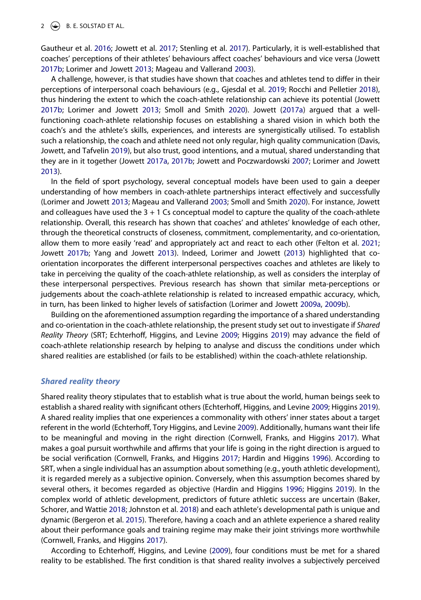<span id="page-2-8"></span>Gautheur et al. [2016](#page-18-2); Jowett et al. [2017](#page-18-3); Stenling et al. [2017](#page-19-3)). Particularly, it is well-established that coaches' perceptions of their athletes' behaviours affect coaches' behaviours and vice versa (Jowett [2017b;](#page-18-0) Lorimer and Jowett [2013;](#page-18-4) Mageau and Vallerand [2003\)](#page-18-5).

<span id="page-2-6"></span>A challenge, however, is that studies have shown that coaches and athletes tend to differ in their perceptions of interpersonal coach behaviours (e.g., Gjesdal et al. [2019;](#page-17-0) Rocchi and Pelletier [2018\)](#page-18-6), thus hindering the extent to which the coach-athlete relationship can achieve its potential (Jowett [2017b;](#page-18-0) Lorimer and Jowett [2013](#page-18-4); Smoll and Smith [2020](#page-19-4)). Jowett [\(2017a](#page-18-7)) argued that a wellfunctioning coach-athlete relationship focuses on establishing a shared vision in which both the coach's and the athlete's skills, experiences, and interests are synergistically utilised. To establish such a relationship, the coach and athlete need not only regular, high quality communication (Davis, Jowett, and Tafvelin [2019\)](#page-17-1), but also trust, good intentions, and a mutual, shared understanding that they are in it together (Jowett [2017a](#page-18-7), [2017b;](#page-18-0) Jowett and Poczwardowski [2007;](#page-18-1) Lorimer and Jowett [2013\)](#page-18-4).

<span id="page-2-12"></span><span id="page-2-9"></span><span id="page-2-5"></span><span id="page-2-3"></span>In the field of sport psychology, several conceptual models have been used to gain a deeper understanding of how members in coach-athlete partnerships interact effectively and successfully (Lorimer and Jowett [2013](#page-18-4); Mageau and Vallerand [2003](#page-18-5); Smoll and Smith [2020](#page-19-4)). For instance, Jowett and colleagues have used the  $3 + 1$  Cs conceptual model to capture the quality of the coach-athlete relationship. Overall, this research has shown that coaches' and athletes' knowledge of each other, through the theoretical constructs of closeness, commitment, complementarity, and co-orientation, allow them to more easily 'read' and appropriately act and react to each other (Felton et al. [2021](#page-17-2); Jowett [2017b;](#page-18-0) Yang and Jowett [2013](#page-19-5)). Indeed, Lorimer and Jowett [\(2013\)](#page-18-4) highlighted that coorientation incorporates the different interpersonal perspectives coaches and athletes are likely to take in perceiving the quality of the coach-athlete relationship, as well as considers the interplay of these interpersonal perspectives. Previous research has shown that similar meta-perceptions or judgements about the coach-athlete relationship is related to increased empathic accuracy, which, in turn, has been linked to higher levels of satisfaction (Lorimer and Jowett [2009a](#page-18-8), [2009b\)](#page-18-9).

<span id="page-2-11"></span><span id="page-2-10"></span>Building on the aforementioned assumption regarding the importance of a shared understanding and co-orientation in the coach-athlete relationship, the present study set out to investigate if *Shared Reality Theory* (SRT; Echterhoff, Higgins, and Levine [2009;](#page-17-3) Higgins [2019](#page-18-10)) may advance the field of coach-athlete relationship research by helping to analyse and discuss the conditions under which shared realities are established (or fails to be established) within the coach-athlete relationship.

#### *Shared reality theory*

Shared reality theory stipulates that to establish what is true about the world, human beings seek to establish a shared reality with significant others (Echterhoff, Higgins, and Levine [2009;](#page-17-3) Higgins [2019\)](#page-18-10). A shared reality implies that one experiences a commonality with others' inner states about a target referent in the world (Echterhoff, Tory Higgins, and Levine [2009\)](#page-17-3). Additionally, humans want their life to be meaningful and moving in the right direction (Cornwell, Franks, and Higgins [2017\)](#page-17-4). What makes a goal pursuit worthwhile and affirms that your life is going in the right direction is argued to be social verification (Cornwell, Franks, and Higgins [2017](#page-17-4); Hardin and Higgins [1996](#page-17-5)). According to SRT, when a single individual has an assumption about something (e.g., youth athletic development), it is regarded merely as a subjective opinion. Conversely, when this assumption becomes shared by several others, it becomes regarded as objective (Hardin and Higgins [1996](#page-17-5); Higgins [2019\)](#page-18-10). In the complex world of athletic development, predictors of future athletic success are uncertain (Baker, Schorer, and Wattie [2018](#page-17-6); Johnston et al. [2018](#page-18-11)) and each athlete's developmental path is unique and dynamic (Bergeron et al. [2015\)](#page-17-7). Therefore, having a coach and an athlete experience a shared reality about their performance goals and training regime may make their joint strivings more worthwhile (Cornwell, Franks, and Higgins [2017](#page-17-4)).

<span id="page-2-7"></span><span id="page-2-4"></span><span id="page-2-2"></span><span id="page-2-1"></span><span id="page-2-0"></span>According to Echterhoff, Higgins, and Levine [\(2009\)](#page-17-3), four conditions must be met for a shared reality to be established. The first condition is that shared reality involves a subjectively perceived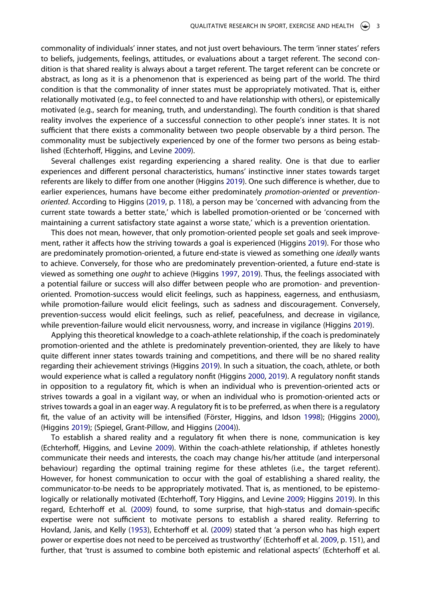commonality of individuals' inner states, and not just overt behaviours. The term 'inner states' refers to beliefs, judgements, feelings, attitudes, or evaluations about a target referent. The second condition is that shared reality is always about a target referent. The target referent can be concrete or abstract, as long as it is a phenomenon that is experienced as being part of the world. The third condition is that the commonality of inner states must be appropriately motivated. That is, either relationally motivated (e.g., to feel connected to and have relationship with others), or epistemically motivated (e.g., search for meaning, truth, and understanding). The fourth condition is that shared reality involves the experience of a successful connection to other people's inner states. It is not sufficient that there exists a commonality between two people observable by a third person. The commonality must be subjectively experienced by one of the former two persons as being established (Echterhoff, Higgins, and Levine [2009\)](#page-17-3).

Several challenges exist regarding experiencing a shared reality. One is that due to earlier experiences and different personal characteristics, humans' instinctive inner states towards target referents are likely to differ from one another (Higgins [2019](#page-18-10)). One such difference is whether, due to earlier experiences, humans have become either predominately *promotion-oriented* or *preventionoriented*. According to Higgins [\(2019,](#page-18-10) p. 118), a person may be 'concerned with advancing from the current state towards a better state,' which is labelled promotion-oriented or be 'concerned with maintaining a current satisfactory state against a worse state,' which is a prevention orientation.

<span id="page-3-2"></span>This does not mean, however, that only promotion-oriented people set goals and seek improvement, rather it affects how the striving towards a goal is experienced (Higgins [2019\)](#page-18-10). For those who are predominately promotion-oriented, a future end-state is viewed as something one *ideally* wants to achieve. Conversely, for those who are predominately prevention-oriented, a future end-state is viewed as something one *ought* to achieve (Higgins [1997,](#page-18-12) [2019\)](#page-18-10). Thus, the feelings associated with a potential failure or success will also differ between people who are promotion- and preventionoriented. Promotion-success would elicit feelings, such as happiness, eagerness, and enthusiasm, while promotion-failure would elicit feelings, such as sadness and discouragement. Conversely, prevention-success would elicit feelings, such as relief, peacefulness, and decrease in vigilance, while prevention-failure would elicit nervousness, worry, and increase in vigilance (Higgins [2019\)](#page-18-10).

Applying this theoretical knowledge to a coach-athlete relationship, if the coach is predominately promotion-oriented and the athlete is predominately prevention-oriented, they are likely to have quite different inner states towards training and competitions, and there will be no shared reality regarding their achievement strivings (Higgins [2019](#page-18-10)). In such a situation, the coach, athlete, or both would experience what is called a regulatory nonfit (Higgins [2000](#page-18-13), [2019](#page-18-10)). A regulatory nonfit stands in opposition to a regulatory fit, which is when an individual who is prevention-oriented acts or strives towards a goal in a vigilant way, or when an individual who is promotion-oriented acts or strives towards a goal in an eager way. A regulatory fit is to be preferred, as when there is a regulatory fit, the value of an activity will be intensified (Förster, Higgins, and Idson [1998\)](#page-17-8); (Higgins [2000\)](#page-18-13), (Higgins [2019](#page-18-10)); (Spiegel, Grant-Pillow, and Higgins [\(2004\)](#page-19-6)).

<span id="page-3-4"></span><span id="page-3-3"></span><span id="page-3-1"></span><span id="page-3-0"></span>To establish a shared reality and a regulatory fit when there is none, communication is key (Echterhoff, Higgins, and Levine [2009](#page-17-3)). Within the coach-athlete relationship, if athletes honestly communicate their needs and interests, the coach may change his/her attitude (and interpersonal behaviour) regarding the optimal training regime for these athletes (i.e., the target referent). However, for honest communication to occur with the goal of establishing a shared reality, the communicator-to-be needs to be appropriately motivated. That is, as mentioned, to be epistemologically or relationally motivated (Echterhoff, Tory Higgins, and Levine [2009;](#page-17-3) Higgins [2019](#page-18-10)). In this regard, Echterhoff et al. [\(2009\)](#page-17-9) found, to some surprise, that high-status and domain-specific expertise were not sufficient to motivate persons to establish a shared reality. Referring to Hovland, Janis, and Kelly [\(1953\)](#page-18-14), Echterhoff et al. ([2009](#page-17-9)) stated that 'a person who has high expert power or expertise does not need to be perceived as trustworthy' (Echterhoff et al. [2009](#page-17-9), p. 151), and further, that 'trust is assumed to combine both epistemic and relational aspects' (Echterhoff et al.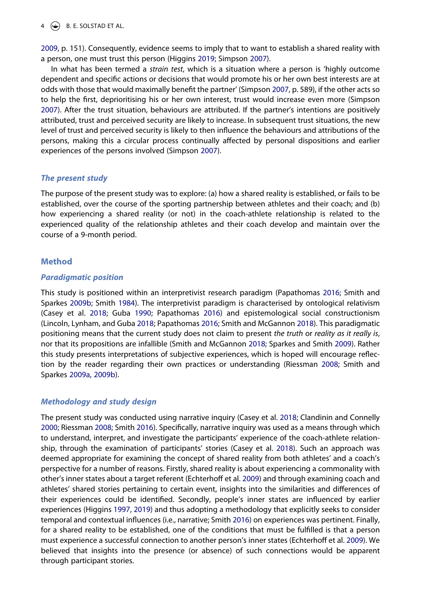$4 \quad \circledast$  B. E. SOLSTAD ET AL.

[2009,](#page-17-9) p. 151). Consequently, evidence seems to imply that to want to establish a shared reality with a person, one must trust this person (Higgins [2019](#page-18-10); Simpson [2007\)](#page-19-7).

In what has been termed a *strain test*, which is a situation where a person is 'highly outcome dependent and specific actions or decisions that would promote his or her own best interests are at odds with those that would maximally benefit the partner' (Simpson [2007](#page-19-7), p. 589), if the other acts so to help the first, deprioritising his or her own interest, trust would increase even more (Simpson [2007\)](#page-19-7). After the trust situation, behaviours are attributed. If the partner's intentions are positively attributed, trust and perceived security are likely to increase. In subsequent trust situations, the new level of trust and perceived security is likely to then influence the behaviours and attributions of the persons, making this a circular process continually affected by personal dispositions and earlier experiences of the persons involved (Simpson [2007\)](#page-19-7).

# <span id="page-4-5"></span>*The present study*

The purpose of the present study was to explore: (a) how a shared reality is established, or fails to be established, over the course of the sporting partnership between athletes and their coach; and (b) how experiencing a shared reality (or not) in the coach-athlete relationship is related to the experienced quality of the relationship athletes and their coach develop and maintain over the course of a 9-month period.

# **Method**

#### *Paradigmatic position*

<span id="page-4-9"></span><span id="page-4-7"></span><span id="page-4-3"></span><span id="page-4-2"></span>This study is positioned within an interpretivist research paradigm (Papathomas [2016](#page-18-15); Smith and Sparkes [2009b;](#page-19-8) Smith [1984](#page-19-9)). The interpretivist paradigm is characterised by ontological relativism (Casey et al. [2018;](#page-17-10) Guba [1990](#page-17-11); Papathomas [2016](#page-18-15)) and epistemological social constructionism (Lincoln, Lynham, and Guba [2018](#page-18-16); Papathomas [2016;](#page-18-15) Smith and McGannon [2018\)](#page-19-10). This paradigmatic positioning means that the current study does not claim to present *the truth* or *reality as it really is*, nor that its propositions are infallible (Smith and McGannon [2018;](#page-19-10) Sparkes and Smith [2009\)](#page-19-11). Rather this study presents interpretations of subjective experiences, which is hoped will encourage reflection by the reader regarding their own practices or understanding (Riessman [2008](#page-18-17); Smith and Sparkes [2009a,](#page-19-12) [2009b\)](#page-19-8).

# <span id="page-4-8"></span>*Methodology and study design*

<span id="page-4-6"></span><span id="page-4-4"></span><span id="page-4-1"></span><span id="page-4-0"></span>The present study was conducted using narrative inquiry (Casey et al. [2018;](#page-17-10) Clandinin and Connelly [2000;](#page-17-12) Riessman [2008;](#page-18-17) Smith [2016\)](#page-19-13). Specifically, narrative inquiry was used as a means through which to understand, interpret, and investigate the participants' experience of the coach-athlete relationship, through the examination of participants' stories (Casey et al. [2018\)](#page-17-10). Such an approach was deemed appropriate for examining the concept of shared reality from both athletes' and a coach's perspective for a number of reasons. Firstly, shared reality is about experiencing a commonality with other's inner states about a target referent (Echterhoff et al. [2009\)](#page-17-3) and through examining coach and athletes' shared stories pertaining to certain event, insights into the similarities and differences of their experiences could be identified. Secondly, people's inner states are influenced by earlier experiences (Higgins [1997,](#page-18-12) [2019](#page-18-10)) and thus adopting a methodology that explicitly seeks to consider temporal and contextual influences (i.e., narrative; Smith [2016](#page-19-13)) on experiences was pertinent. Finally, for a shared reality to be established, one of the conditions that must be fulfilled is that a person must experience a successful connection to another person's inner states (Echterhoff et al. [2009\)](#page-17-3). We believed that insights into the presence (or absence) of such connections would be apparent through participant stories.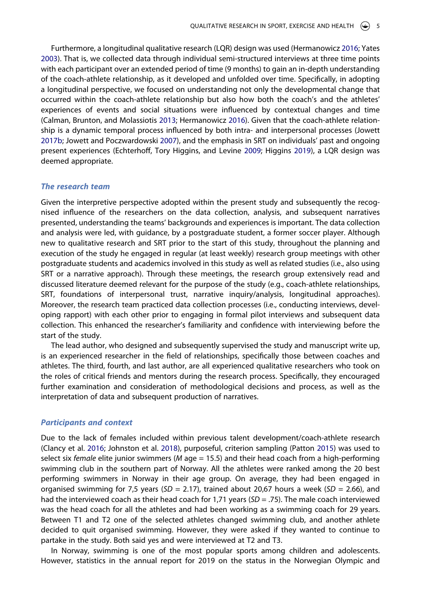<span id="page-5-2"></span><span id="page-5-0"></span>Furthermore, a longitudinal qualitative research (LQR) design was used (Hermanowicz [2016;](#page-17-13) Yates [2003\)](#page-19-14). That is, we collected data through individual semi-structured interviews at three time points with each participant over an extended period of time (9 months) to gain an in-depth understanding of the coach-athlete relationship, as it developed and unfolded over time. Specifically, in adopting a longitudinal perspective, we focused on understanding not only the developmental change that occurred within the coach-athlete relationship but also how both the coach's and the athletes' experiences of events and social situations were influenced by contextual changes and time (Calman, Brunton, and Molassiotis [2013](#page-17-14); Hermanowicz [2016](#page-17-13)). Given that the coach-athlete relationship is a dynamic temporal process influenced by both intra- and interpersonal processes (Jowett [2017b;](#page-18-0) Jowett and Poczwardowski [2007](#page-18-1)), and the emphasis in SRT on individuals' past and ongoing present experiences (Echterhoff, Tory Higgins, and Levine [2009;](#page-17-3) Higgins [2019](#page-18-10)), a LQR design was deemed appropriate.

#### *The research team*

Given the interpretive perspective adopted within the present study and subsequently the recognised influence of the researchers on the data collection, analysis, and subsequent narratives presented, understanding the teams' backgrounds and experiences is important. The data collection and analysis were led, with guidance, by a postgraduate student, a former soccer player. Although new to qualitative research and SRT prior to the start of this study, throughout the planning and execution of the study he engaged in regular (at least weekly) research group meetings with other postgraduate students and academics involved in this study as well as related studies (i.e., also using SRT or a narrative approach). Through these meetings, the research group extensively read and discussed literature deemed relevant for the purpose of the study (e.g., coach-athlete relationships, SRT, foundations of interpersonal trust, narrative inquiry/analysis, longitudinal approaches). Moreover, the research team practiced data collection processes (i.e., conducting interviews, developing rapport) with each other prior to engaging in formal pilot interviews and subsequent data collection. This enhanced the researcher's familiarity and confidence with interviewing before the start of the study.

The lead author, who designed and subsequently supervised the study and manuscript write up, is an experienced researcher in the field of relationships, specifically those between coaches and athletes. The third, fourth, and last author, are all experienced qualitative researchers who took on the roles of critical friends and mentors during the research process. Specifically, they encouraged further examination and consideration of methodological decisions and process, as well as the interpretation of data and subsequent production of narratives.

#### *Participants and context*

<span id="page-5-1"></span>Due to the lack of females included within previous talent development/coach-athlete research (Clancy et al. [2016;](#page-17-15) Johnston et al. [2018](#page-18-11)), purposeful, criterion sampling (Patton [2015](#page-18-18)) was used to select six *female* elite junior swimmers (*M* age = 15.5) and their head coach from a high-performing swimming club in the southern part of Norway. All the athletes were ranked among the 20 best performing swimmers in Norway in their age group. On average, they had been engaged in organised swimming for 7,5 years (*SD* = 2.17), trained about 20,67 hours a week (*SD* = 2.66), and had the interviewed coach as their head coach for 1,71 years (*SD* = .75). The male coach interviewed was the head coach for all the athletes and had been working as a swimming coach for 29 years. Between T1 and T2 one of the selected athletes changed swimming club, and another athlete decided to quit organised swimming. However, they were asked if they wanted to continue to partake in the study. Both said yes and were interviewed at T2 and T3.

In Norway, swimming is one of the most popular sports among children and adolescents. However, statistics in the annual report for 2019 on the status in the Norwegian Olympic and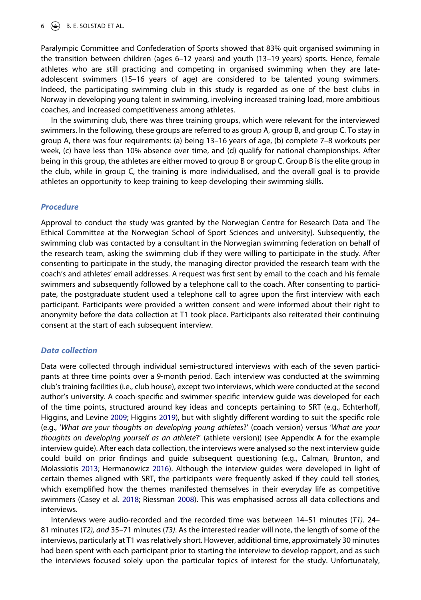# $6 \leftrightarrow B$ . E. SOLSTAD ET AL.

Paralympic Committee and Confederation of Sports showed that 83% quit organised swimming in the transition between children (ages 6–12 years) and youth (13–19 years) sports. Hence, female athletes who are still practicing and competing in organised swimming when they are lateadolescent swimmers (15–16 years of age) are considered to be talented young swimmers. Indeed, the participating swimming club in this study is regarded as one of the best clubs in Norway in developing young talent in swimming, involving increased training load, more ambitious coaches, and increased competitiveness among athletes.

In the swimming club, there was three training groups, which were relevant for the interviewed swimmers. In the following, these groups are referred to as group A, group B, and group C. To stay in group A, there was four requirements: (a) being 13–16 years of age, (b) complete 7–8 workouts per week, (c) have less than 10% absence over time, and (d) qualify for national championships. After being in this group, the athletes are either moved to group B or group C. Group B is the elite group in the club, while in group C, the training is more individualised, and the overall goal is to provide athletes an opportunity to keep training to keep developing their swimming skills.

#### *Procedure*

Approval to conduct the study was granted by the Norwegian Centre for Research Data and The Ethical Committee at the Norwegian School of Sport Sciences and university]. Subsequently, the swimming club was contacted by a consultant in the Norwegian swimming federation on behalf of the research team, asking the swimming club if they were willing to participate in the study. After consenting to participate in the study, the managing director provided the research team with the coach's and athletes' email addresses. A request was first sent by email to the coach and his female swimmers and subsequently followed by a telephone call to the coach. After consenting to participate, the postgraduate student used a telephone call to agree upon the first interview with each participant. Participants were provided a written consent and were informed about their right to anonymity before the data collection at T1 took place. Participants also reiterated their continuing consent at the start of each subsequent interview.

#### *Data collection*

Data were collected through individual semi-structured interviews with each of the seven participants at three time points over a 9-month period. Each interview was conducted at the swimming club's training facilities (i.e., club house), except two interviews, which were conducted at the second author's university. A coach-specific and swimmer-specific interview guide was developed for each of the time points, structured around key ideas and concepts pertaining to SRT (e.g., Echterhoff, Higgins, and Levine [2009;](#page-17-3) Higgins [2019\)](#page-18-10), but with slightly different wording to suit the specific role (e.g., '*What are your thoughts on developing young athletes*?' (coach version) versus '*What are your thoughts on developing yourself as an athlete*?' (athlete version)) (see Appendix A for the example interview guide). After each data collection, the interviews were analysed so the next interview guide could build on prior findings and guide subsequent questioning (e.g., Calman, Brunton, and Molassiotis [2013;](#page-17-14) Hermanowicz [2016](#page-17-13)). Although the interview guides were developed in light of certain themes aligned with SRT, the participants were frequently asked if they could tell stories, which exemplified how the themes manifested themselves in their everyday life as competitive swimmers (Casey et al. [2018;](#page-17-10) Riessman [2008\)](#page-18-17). This was emphasised across all data collections and interviews.

Interviews were audio-recorded and the recorded time was between 14–51 minutes (*T1)*. 24– 81 minutes (*T2), and* 35–71 minutes (*T3)*. As the interested reader will note, the length of some of the interviews, particularly at T1 was relatively short. However, additional time, approximately 30 minutes had been spent with each participant prior to starting the interview to develop rapport, and as such the interviews focused solely upon the particular topics of interest for the study. Unfortunately,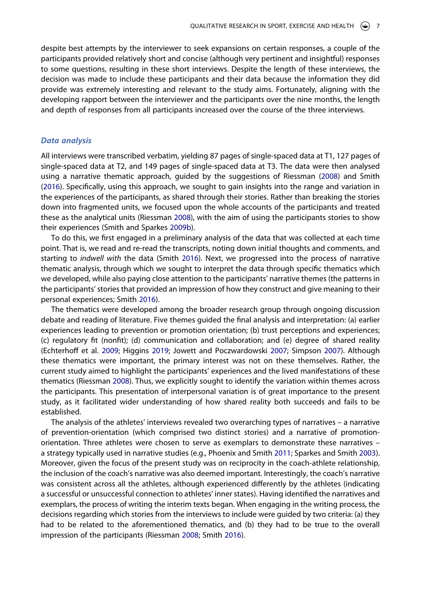despite best attempts by the interviewer to seek expansions on certain responses, a couple of the participants provided relatively short and concise (although very pertinent and insightful) responses to some questions, resulting in these short interviews. Despite the length of these interviews, the decision was made to include these participants and their data because the information they did provide was extremely interesting and relevant to the study aims. Fortunately, aligning with the developing rapport between the interviewer and the participants over the nine months, the length and depth of responses from all participants increased over the course of the three interviews.

## *Data analysis*

All interviews were transcribed verbatim, yielding 87 pages of single-spaced data at T1, 127 pages of single-spaced data at T2, and 149 pages of single-spaced data at T3. The data were then analysed using a narrative thematic approach, guided by the suggestions of Riessman [\(2008\)](#page-18-17) and Smith ([2016](#page-19-13)). Specifically, using this approach, we sought to gain insights into the range and variation in the experiences of the participants, as shared through their stories. Rather than breaking the stories down into fragmented units, we focused upon the whole accounts of the participants and treated these as the analytical units (Riessman [2008\)](#page-18-17), with the aim of using the participants stories to show their experiences (Smith and Sparkes [2009b](#page-19-8)).

To do this, we first engaged in a preliminary analysis of the data that was collected at each time point. That is, we read and re-read the transcripts, noting down initial thoughts and comments, and starting to *indwell with* the data (Smith [2016\)](#page-19-13). Next, we progressed into the process of narrative thematic analysis, through which we sought to interpret the data through specific thematics which we developed, while also paying close attention to the participants' narrative themes (the patterns in the participants' stories that provided an impression of how they construct and give meaning to their personal experiences; Smith [2016](#page-19-13)).

The thematics were developed among the broader research group through ongoing discussion debate and reading of literature. Five themes guided the final analysis and interpretation: (a) earlier experiences leading to prevention or promotion orientation; (b) trust perceptions and experiences; (c) regulatory fit (nonfit); (d) communication and collaboration; and (e) degree of shared reality (Echterhoff et al. [2009;](#page-17-3) Higgins [2019;](#page-18-10) Jowett and Poczwardowski [2007](#page-18-1); Simpson [2007\)](#page-19-7). Although these thematics were important, the primary interest was not on these themselves. Rather, the current study aimed to highlight the participants' experiences and the lived manifestations of these thematics (Riessman [2008\)](#page-18-17). Thus, we explicitly sought to identify the variation within themes across the participants. This presentation of interpersonal variation is of great importance to the present study, as it facilitated wider understanding of how shared reality both succeeds and fails to be established.

<span id="page-7-0"></span>The analysis of the athletes' interviews revealed two overarching types of narratives – a narrative of prevention-orientation (which comprised two distinct stories) and a narrative of promotionorientation. Three athletes were chosen to serve as exemplars to demonstrate these narratives – a strategy typically used in narrative studies (e.g., Phoenix and Smith [2011](#page-18-19); Sparkes and Smith [2003\)](#page-19-15). Moreover, given the focus of the present study was on reciprocity in the coach-athlete relationship, the inclusion of the coach's narrative was also deemed important. Interestingly, the coach's narrative was consistent across all the athletes, although experienced differently by the athletes (indicating a successful or unsuccessful connection to athletes' inner states). Having identified the narratives and exemplars, the process of writing the interim texts began. When engaging in the writing process, the decisions regarding which stories from the interviews to include were guided by two criteria: (a) they had to be related to the aforementioned thematics, and (b) they had to be true to the overall impression of the participants (Riessman [2008;](#page-18-17) Smith [2016\)](#page-19-13).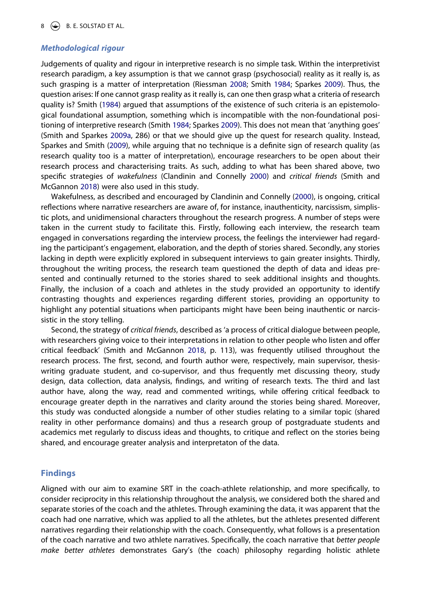# *Methodological rigour*

Judgements of quality and rigour in interpretive research is no simple task. Within the interpretivist research paradigm, a key assumption is that we cannot grasp (psychosocial) reality as it really is, as such grasping is a matter of interpretation (Riessman [2008](#page-18-17); Smith [1984;](#page-19-9) Sparkes [2009\)](#page-19-11). Thus, the question arises: If one cannot grasp reality as it really is, can one then grasp what a criteria of research quality is? Smith [\(1984\)](#page-19-9) argued that assumptions of the existence of such criteria is an epistemological foundational assumption, something which is incompatible with the non-foundational positioning of interpretive research (Smith [1984;](#page-19-9) Sparkes [2009\)](#page-19-11). This does not mean that 'anything goes' (Smith and Sparkes [2009a](#page-19-12), 286) or that we should give up the quest for research quality. Instead, Sparkes and Smith [\(2009\)](#page-19-11), while arguing that no technique is a definite sign of research quality (as research quality too is a matter of interpretation), encourage researchers to be open about their research process and characterising traits. As such, adding to what has been shared above, two specific strategies of *wakefulness* (Clandinin and Connelly [2000](#page-17-12)) and *critical friends* (Smith and McGannon [2018\)](#page-19-10) were also used in this study.

Wakefulness, as described and encouraged by Clandinin and Connelly ([2000](#page-17-12)), is ongoing, critical reflections where narrative researchers are aware of, for instance, inauthenticity, narcissism, simplistic plots, and unidimensional characters throughout the research progress. A number of steps were taken in the current study to facilitate this. Firstly, following each interview, the research team engaged in conversations regarding the interview process, the feelings the interviewer had regarding the participant's engagement, elaboration, and the depth of stories shared. Secondly, any stories lacking in depth were explicitly explored in subsequent interviews to gain greater insights. Thirdly, throughout the writing process, the research team questioned the depth of data and ideas presented and continually returned to the stories shared to seek additional insights and thoughts. Finally, the inclusion of a coach and athletes in the study provided an opportunity to identify contrasting thoughts and experiences regarding different stories, providing an opportunity to highlight any potential situations when participants might have been being inauthentic or narcissistic in the story telling.

Second, the strategy of *critical friends*, described as 'a process of critical dialogue between people, with researchers giving voice to their interpretations in relation to other people who listen and offer critical feedback' (Smith and McGannon [2018,](#page-19-10) p. 113), was frequently utilised throughout the research process. The first, second, and fourth author were, respectively, main supervisor, thesiswriting graduate student, and co-supervisor, and thus frequently met discussing theory, study design, data collection, data analysis, findings, and writing of research texts. The third and last author have, along the way, read and commented writings, while offering critical feedback to encourage greater depth in the narratives and clarity around the stories being shared. Moreover, this study was conducted alongside a number of other studies relating to a similar topic (shared reality in other performance domains) and thus a research group of postgraduate students and academics met regularly to discuss ideas and thoughts, to critique and reflect on the stories being shared, and encourage greater analysis and interpretaton of the data.

# **Findings**

Aligned with our aim to examine SRT in the coach-athlete relationship, and more specifically, to consider reciprocity in this relationship throughout the analysis, we considered both the shared and separate stories of the coach and the athletes. Through examining the data, it was apparent that the coach had one narrative, which was applied to all the athletes, but the athletes presented different narratives regarding their relationship with the coach. Consequently, what follows is a presentation of the coach narrative and two athlete narratives. Specifically, the coach narrative that *better people make better athletes* demonstrates Gary's (the coach) philosophy regarding holistic athlete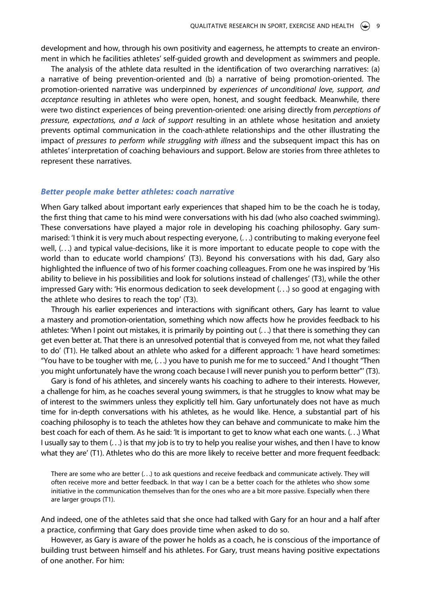development and how, through his own positivity and eagerness, he attempts to create an environment in which he facilities athletes' self-guided growth and development as swimmers and people.

The analysis of the athlete data resulted in the identification of two overarching narratives: (a) a narrative of being prevention-oriented and (b) a narrative of being promotion-oriented. The promotion-oriented narrative was underpinned by *experiences of unconditional love, support, and acceptance* resulting in athletes who were open, honest, and sought feedback. Meanwhile, there were two distinct experiences of being prevention-oriented: one arising directly from *perceptions of pressure, expectations, and a lack of support* resulting in an athlete whose hesitation and anxiety prevents optimal communication in the coach-athlete relationships and the other illustrating the impact of *pressures to perform while struggling with illness* and the subsequent impact this has on athletes' interpretation of coaching behaviours and support. Below are stories from three athletes to represent these narratives.

#### *Better people make better athletes: coach narrative*

When Gary talked about important early experiences that shaped him to be the coach he is today, the first thing that came to his mind were conversations with his dad (who also coached swimming). These conversations have played a major role in developing his coaching philosophy. Gary summarised: 'I think it is very much about respecting everyone, (. . .) contributing to making everyone feel well, (. . .) and typical value-decisions, like it is more important to educate people to cope with the world than to educate world champions' (T3). Beyond his conversations with his dad, Gary also highlighted the influence of two of his former coaching colleagues. From one he was inspired by 'His ability to believe in his possibilities and look for solutions instead of challenges' (T3), while the other impressed Gary with: 'His enormous dedication to seek development (. . .) so good at engaging with the athlete who desires to reach the top' (T3).

Through his earlier experiences and interactions with significant others, Gary has learnt to value a mastery and promotion-orientation, something which now affects how he provides feedback to his athletes: 'When I point out mistakes, it is primarily by pointing out (. . .) that there is something they can get even better at. That there is an unresolved potential that is conveyed from me, not what they failed to do' (T1). He talked about an athlete who asked for a different approach: 'I have heard sometimes: "You have to be tougher with me, (. . .) you have to punish me for me to succeed." And I thought "Then you might unfortunately have the wrong coach because I will never punish you to perform better"' (T3).

Gary is fond of his athletes, and sincerely wants his coaching to adhere to their interests. However, a challenge for him, as he coaches several young swimmers, is that he struggles to know what may be of interest to the swimmers unless they explicitly tell him. Gary unfortunately does not have as much time for in-depth conversations with his athletes, as he would like. Hence, a substantial part of his coaching philosophy is to teach the athletes how they can behave and communicate to make him the best coach for each of them. As he said: 'It is important to get to know what each one wants. (. . .) What I usually say to them (. . .) is that my job is to try to help you realise your wishes, and then I have to know what they are' (T1). Athletes who do this are more likely to receive better and more frequent feedback:

There are some who are better (. . .) to ask questions and receive feedback and communicate actively. They will often receive more and better feedback. In that way I can be a better coach for the athletes who show some initiative in the communication themselves than for the ones who are a bit more passive. Especially when there are larger groups (T1).

And indeed, one of the athletes said that she once had talked with Gary for an hour and a half after a practice, confirming that Gary does provide time when asked to do so.

However, as Gary is aware of the power he holds as a coach, he is conscious of the importance of building trust between himself and his athletes. For Gary, trust means having positive expectations of one another. For him: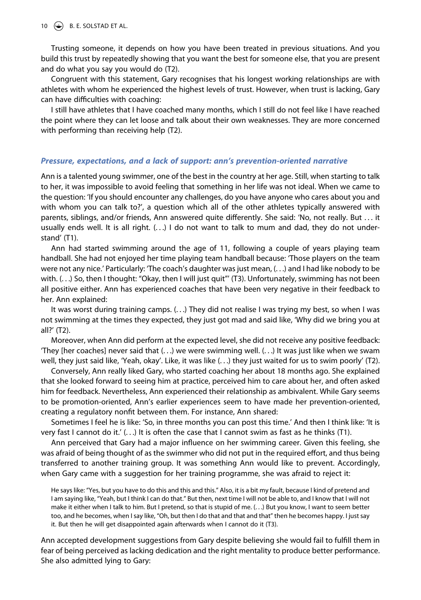10  $\left(\rightarrow\right)$  B. E. SOLSTAD ET AL.

Trusting someone, it depends on how you have been treated in previous situations. And you build this trust by repeatedly showing that you want the best for someone else, that you are present and do what you say you would do (T2).

Congruent with this statement, Gary recognises that his longest working relationships are with athletes with whom he experienced the highest levels of trust. However, when trust is lacking, Gary can have difficulties with coaching:

I still have athletes that I have coached many months, which I still do not feel like I have reached the point where they can let loose and talk about their own weaknesses. They are more concerned with performing than receiving help (T2).

#### *Pressure, expectations, and a lack of support: ann's prevention-oriented narrative*

Ann is a talented young swimmer, one of the best in the country at her age. Still, when starting to talk to her, it was impossible to avoid feeling that something in her life was not ideal. When we came to the question: 'If you should encounter any challenges, do you have anyone who cares about you and with whom you can talk to?', a question which all of the other athletes typically answered with parents, siblings, and/or friends, Ann answered quite differently. She said: 'No, not really. But . . . it usually ends well. It is all right.  $(...)$  I do not want to talk to mum and dad, they do not understand' (T1).

Ann had started swimming around the age of 11, following a couple of years playing team handball. She had not enjoyed her time playing team handball because: 'Those players on the team were not any nice.' Particularly: 'The coach's daughter was just mean, (. . .) and I had like nobody to be with. (. . .) So, then I thought: "Okay, then I will just quit"' (T3). Unfortunately, swimming has not been all positive either. Ann has experienced coaches that have been very negative in their feedback to her. Ann explained:

It was worst during training camps. (. . .) They did not realise I was trying my best, so when I was not swimming at the times they expected, they just got mad and said like, 'Why did we bring you at all?' (T2).

Moreover, when Ann did perform at the expected level, she did not receive any positive feedback: 'They [her coaches] never said that (. . .) we were swimming well. (. . .) It was just like when we swam well, they just said like, 'Yeah, okay'. Like, it was like (. . .) they just waited for us to swim poorly' (T2).

Conversely, Ann really liked Gary, who started coaching her about 18 months ago. She explained that she looked forward to seeing him at practice, perceived him to care about her, and often asked him for feedback. Nevertheless, Ann experienced their relationship as ambivalent. While Gary seems to be promotion-oriented, Ann's earlier experiences seem to have made her prevention-oriented, creating a regulatory nonfit between them. For instance, Ann shared:

Sometimes I feel he is like: 'So, in three months you can post this time.' And then I think like: 'It is very fast I cannot do it.'  $( \ldots )$  It is often the case that I cannot swim as fast as he thinks (T1).

Ann perceived that Gary had a major influence on her swimming career. Given this feeling, she was afraid of being thought of as the swimmer who did not put in the required effort, and thus being transferred to another training group. It was something Ann would like to prevent. Accordingly, when Gary came with a suggestion for her training programme, she was afraid to reject it:

He says like: "Yes, but you have to do this and this and this." Also, it is a bit my fault, because I kind of pretend and I am saying like, "Yeah, but I think I can do that." But then, next time I will not be able to, and I know that I will not make it either when I talk to him. But I pretend, so that is stupid of me. (. . .) But you know, I want to seem better too, and he becomes, when I say like, "Oh, but then I do that and that and that" then he becomes happy. I just say it. But then he will get disappointed again afterwards when I cannot do it (T3).

Ann accepted development suggestions from Gary despite believing she would fail to fulfill them in fear of being perceived as lacking dedication and the right mentality to produce better performance. She also admitted lying to Gary: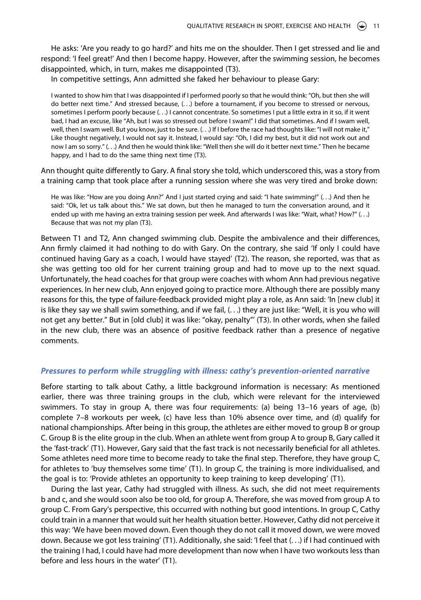He asks: 'Are you ready to go hard?' and hits me on the shoulder. Then I get stressed and lie and respond: 'I feel great!' And then I become happy. However, after the swimming session, he becomes disappointed, which, in turn, makes me disappointed (T3).

In competitive settings, Ann admitted she faked her behaviour to please Gary:

I wanted to show him that I was disappointed if I performed poorly so that he would think: "Oh, but then she will do better next time." And stressed because, (. . .) before a tournament, if you become to stressed or nervous, sometimes I perform poorly because (. . .) I cannot concentrate. So sometimes I put a little extra in it so, if it went bad, I had an excuse, like "Ah, but I was so stressed out before I swam!" I did that sometimes. And if I swam well, well, then I swam well. But you know, just to be sure. (...) If I before the race had thoughts like: "I will not make it," Like thought negatively, I would not say it. Instead, I would say: "Oh, I did my best, but it did not work out and now I am so sorry." (. . .) And then he would think like: "Well then she will do it better next time." Then he became happy, and I had to do the same thing next time (T3).

Ann thought quite differently to Gary. A final story she told, which underscored this, was a story from a training camp that took place after a running session where she was very tired and broke down:

He was like: "How are you doing Ann?" And I just started crying and said: "I hate swimming!" (. . .) And then he said: "Ok, let us talk about this." We sat down, but then he managed to turn the conversation around, and it ended up with me having an extra training session per week. And afterwards I was like: "Wait, what? How?" (...) Because that was not my plan (T3).

Between T1 and T2, Ann changed swimming club. Despite the ambivalence and their differences, Ann firmly claimed it had nothing to do with Gary. On the contrary, she said 'If only I could have continued having Gary as a coach, I would have stayed' (T2). The reason, she reported, was that as she was getting too old for her current training group and had to move up to the next squad. Unfortunately, the head coaches for that group were coaches with whom Ann had previous negative experiences. In her new club, Ann enjoyed going to practice more. Although there are possibly many reasons for this, the type of failure-feedback provided might play a role, as Ann said: 'In [new club] it is like they say we shall swim something, and if we fail, (. . .) they are just like: "Well, it is you who will not get any better." But in [old club] it was like: "okay, penalty"' (T3). In other words, when she failed in the new club, there was an absence of positive feedback rather than a presence of negative comments.

#### *Pressures to perform while struggling with illness: cathy's prevention-oriented narrative*

Before starting to talk about Cathy, a little background information is necessary: As mentioned earlier, there was three training groups in the club, which were relevant for the interviewed swimmers. To stay in group A, there was four requirements: (a) being 13–16 years of age, (b) complete 7–8 workouts per week, (c) have less than 10% absence over time, and (d) qualify for national championships. After being in this group, the athletes are either moved to group B or group C. Group B is the elite group in the club. When an athlete went from group A to group B, Gary called it the 'fast-track' (T1). However, Gary said that the fast track is not necessarily beneficial for all athletes. Some athletes need more time to become ready to take the final step. Therefore, they have group C, for athletes to 'buy themselves some time' (T1). In group C, the training is more individualised, and the goal is to: 'Provide athletes an opportunity to keep training to keep developing' (T1).

During the last year, Cathy had struggled with illness. As such, she did not meet requirements b and c, and she would soon also be too old, for group A. Therefore, she was moved from group A to group C. From Gary's perspective, this occurred with nothing but good intentions. In group C, Cathy could train in a manner that would suit her health situation better. However, Cathy did not perceive it this way: 'We have been moved down. Even though they do not call it moved down, we were moved down. Because we got less training' (T1). Additionally, she said: 'I feel that (. . .) if I had continued with the training I had, I could have had more development than now when I have two workouts less than before and less hours in the water' (T1).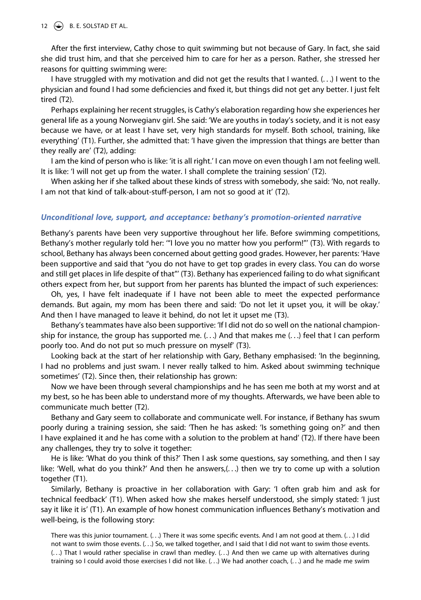#### 12  $\leftrightarrow$  B. E. SOLSTAD ET AL.

After the first interview, Cathy chose to quit swimming but not because of Gary. In fact, she said she did trust him, and that she perceived him to care for her as a person. Rather, she stressed her reasons for quitting swimming were:

I have struggled with my motivation and did not get the results that I wanted. (. . .) I went to the physician and found I had some deficiencies and fixed it, but things did not get any better. I just felt tired (T2).

Perhaps explaining her recent struggles, is Cathy's elaboration regarding how she experiences her general life as a young Norwegianv girl. She said: 'We are youths in today's society, and it is not easy because we have, or at least I have set, very high standards for myself. Both school, training, like everything' (T1). Further, she admitted that: 'I have given the impression that things are better than they really are' (T2), adding:

I am the kind of person who is like: 'it is all right.' I can move on even though I am not feeling well. It is like: 'I will not get up from the water. I shall complete the training session' (T2).

When asking her if she talked about these kinds of stress with somebody, she said: 'No, not really. I am not that kind of talk-about-stuff-person, I am not so good at it' (T2).

#### *Unconditional love, support, and acceptance: bethany's promotion-oriented narrative*

Bethany's parents have been very supportive throughout her life. Before swimming competitions, Bethany's mother regularly told her: '"I love you no matter how you perform!"' (T3). With regards to school, Bethany has always been concerned about getting good grades. However, her parents: 'Have been supportive and said that "you do not have to get top grades in every class. You can do worse and still get places in life despite of that"' (T3). Bethany has experienced failing to do what significant others expect from her, but support from her parents has blunted the impact of such experiences:

Oh, yes, I have felt inadequate if I have not been able to meet the expected performance demands. But again, my mom has been there and said: 'Do not let it upset you, it will be okay.' And then I have managed to leave it behind, do not let it upset me (T3).

Bethany's teammates have also been supportive: 'If I did not do so well on the national championship for instance, the group has supported me. (. . .) And that makes me (. . .) feel that I can perform poorly too. And do not put so much pressure on myself' (T3).

Looking back at the start of her relationship with Gary, Bethany emphasised: 'In the beginning, I had no problems and just swam. I never really talked to him. Asked about swimming technique sometimes' (T2). Since then, their relationship has grown:

Now we have been through several championships and he has seen me both at my worst and at my best, so he has been able to understand more of my thoughts. Afterwards, we have been able to communicate much better (T2).

Bethany and Gary seem to collaborate and communicate well. For instance, if Bethany has swum poorly during a training session, she said: 'Then he has asked: 'Is something going on?' and then I have explained it and he has come with a solution to the problem at hand' (T2). If there have been any challenges, they try to solve it together:

He is like: 'What do you think of this?' Then I ask some questions, say something, and then I say like: 'Well, what do you think?' And then he answers,(. . .) then we try to come up with a solution together (T1).

Similarly, Bethany is proactive in her collaboration with Gary: 'I often grab him and ask for technical feedback' (T1). When asked how she makes herself understood, she simply stated: 'I just say it like it is' (T1). An example of how honest communication influences Bethany's motivation and well-being, is the following story:

There was this junior tournament. (. . .) There it was some specific events. And I am not good at them. (. . .) I did not want to swim those events. (. . .) So, we talked together, and I said that I did not want to swim those events. (. . .) That I would rather specialise in crawl than medley. (. . .) And then we came up with alternatives during training so I could avoid those exercises I did not like. (. . .) We had another coach, (. . .) and he made me swim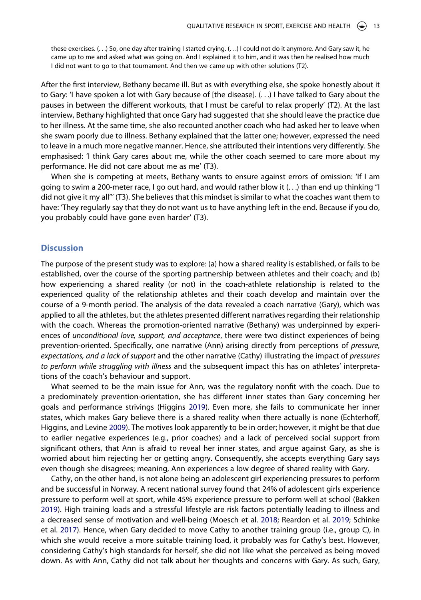these exercises. (. . .) So, one day after training I started crying. (. . .) I could not do it anymore. And Gary saw it, he came up to me and asked what was going on. And I explained it to him, and it was then he realised how much I did not want to go to that tournament. And then we came up with other solutions (T2).

After the first interview, Bethany became ill. But as with everything else, she spoke honestly about it to Gary: 'I have spoken a lot with Gary because of [the disease]. (. . .) I have talked to Gary about the pauses in between the different workouts, that I must be careful to relax properly' (T2). At the last interview, Bethany highlighted that once Gary had suggested that she should leave the practice due to her illness. At the same time, she also recounted another coach who had asked her to leave when she swam poorly due to illness. Bethany explained that the latter one; however, expressed the need to leave in a much more negative manner. Hence, she attributed their intentions very differently. She emphasised: 'I think Gary cares about me, while the other coach seemed to care more about my performance. He did not care about me as me' (T3).

When she is competing at meets, Bethany wants to ensure against errors of omission: 'If I am going to swim a 200-meter race, I go out hard, and would rather blow it  $($ ...) than end up thinking "I did not give it my all"' (T3). She believes that this mindset is similar to what the coaches want them to have: 'They regularly say that they do not want us to have anything left in the end. Because if you do, you probably could have gone even harder' (T3).

#### **Discussion**

The purpose of the present study was to explore: (a) how a shared reality is established, or fails to be established, over the course of the sporting partnership between athletes and their coach; and (b) how experiencing a shared reality (or not) in the coach-athlete relationship is related to the experienced quality of the relationship athletes and their coach develop and maintain over the course of a 9-month period. The analysis of the data revealed a coach narrative (Gary), which was applied to all the athletes, but the athletes presented different narratives regarding their relationship with the coach. Whereas the promotion-oriented narrative (Bethany) was underpinned by experiences of *unconditional love, support, and acceptance*, there were two distinct experiences of being prevention-oriented. Specifically, one narrative (Ann) arising directly from perceptions of *pressure, expectations, and a lack of support* and the other narrative (Cathy) illustrating the impact of *pressures to perform while struggling with illness* and the subsequent impact this has on athletes' interpretations of the coach's behaviour and support.

What seemed to be the main issue for Ann, was the regulatory nonfit with the coach. Due to a predominately prevention-orientation, she has different inner states than Gary concerning her goals and performance strivings (Higgins [2019\)](#page-18-10). Even more, she fails to communicate her inner states, which makes Gary believe there is a shared reality when there actually is none (Echterhoff, Higgins, and Levine [2009](#page-17-3)). The motives look apparently to be in order; however, it might be that due to earlier negative experiences (e.g., prior coaches) and a lack of perceived social support from significant others, that Ann is afraid to reveal her inner states, and argue against Gary, as she is worried about him rejecting her or getting angry. Consequently, she accepts everything Gary says even though she disagrees; meaning, Ann experiences a low degree of shared reality with Gary.

<span id="page-13-2"></span><span id="page-13-1"></span><span id="page-13-0"></span>Cathy, on the other hand, is not alone being an adolescent girl experiencing pressures to perform and be successful in Norway. A recent national survey found that 24% of adolescent girls experience pressure to perform well at sport, while 45% experience pressure to perform well at school (Bakken [2019\)](#page-17-16). High training loads and a stressful lifestyle are risk factors potentially leading to illness and a decreased sense of motivation and well-being (Moesch et al. [2018](#page-18-20); Reardon et al. [2019](#page-18-21); Schinke et al. [2017](#page-19-16)). Hence, when Gary decided to move Cathy to another training group (i.e., group C), in which she would receive a more suitable training load, it probably was for Cathy's best. However, considering Cathy's high standards for herself, she did not like what she perceived as being moved down. As with Ann, Cathy did not talk about her thoughts and concerns with Gary. As such, Gary,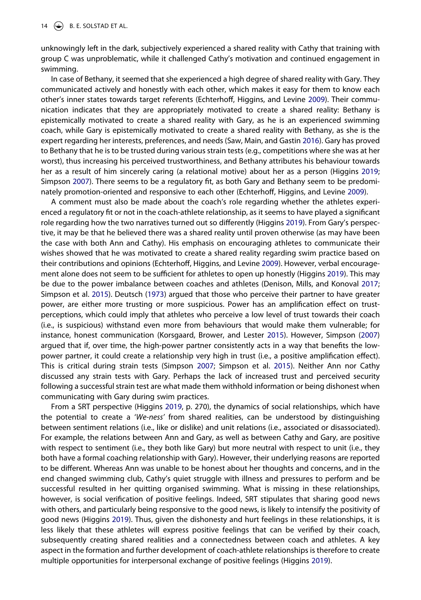unknowingly left in the dark, subjectively experienced a shared reality with Cathy that training with group C was unproblematic, while it challenged Cathy's motivation and continued engagement in swimming.

<span id="page-14-3"></span>In case of Bethany, it seemed that she experienced a high degree of shared reality with Gary. They communicated actively and honestly with each other, which makes it easy for them to know each other's inner states towards target referents (Echterhoff, Higgins, and Levine [2009\)](#page-17-3). Their communication indicates that they are appropriately motivated to create a shared reality: Bethany is epistemically motivated to create a shared reality with Gary, as he is an experienced swimming coach, while Gary is epistemically motivated to create a shared reality with Bethany, as she is the expert regarding her interests, preferences, and needs (Saw, Main, and Gastin [2016](#page-18-22)). Gary has proved to Bethany that he is to be trusted during various strain tests (e.g., competitions where she was at her worst), thus increasing his perceived trustworthiness, and Bethany attributes his behaviour towards her as a result of him sincerely caring (a relational motive) about her as a person (Higgins [2019](#page-18-10); Simpson [2007\)](#page-19-7). There seems to be a regulatory fit, as both Gary and Bethany seem to be predominately promotion-oriented and responsive to each other (Echterhoff, Higgins, and Levine [2009\)](#page-17-3).

<span id="page-14-1"></span><span id="page-14-0"></span>A comment must also be made about the coach's role regarding whether the athletes experienced a regulatory fit or not in the coach-athlete relationship, as it seems to have played a significant role regarding how the two narratives turned out so differently (Higgins [2019\)](#page-18-10). From Gary's perspective, it may be that he believed there was a shared reality until proven otherwise (as may have been the case with both Ann and Cathy). His emphasis on encouraging athletes to communicate their wishes showed that he was motivated to create a shared reality regarding swim practice based on their contributions and opinions (Echterhoff, Higgins, and Levine [2009](#page-17-3)). However, verbal encouragement alone does not seem to be sufficient for athletes to open up honestly (Higgins [2019](#page-18-10)). This may be due to the power imbalance between coaches and athletes (Denison, Mills, and Konoval [2017](#page-17-17); Simpson et al. [2015](#page-19-17)). Deutsch ([1973](#page-17-18)) argued that those who perceive their partner to have greater power, are either more trusting or more suspicious. Power has an amplification effect on trustperceptions, which could imply that athletes who perceive a low level of trust towards their coach (i.e., is suspicious) withstand even more from behaviours that would make them vulnerable; for instance, honest communication (Korsgaard, Brower, and Lester [2015\)](#page-18-23). However, Simpson [\(2007\)](#page-19-7) argued that if, over time, the high-power partner consistently acts in a way that benefits the lowpower partner, it could create a relationship very high in trust (i.e., a positive amplification effect). This is critical during strain tests (Simpson [2007](#page-19-7); Simpson et al. [2015\)](#page-19-17). Neither Ann nor Cathy discussed any strain tests with Gary. Perhaps the lack of increased trust and perceived security following a successful strain test are what made them withhold information or being dishonest when communicating with Gary during swim practices.

<span id="page-14-4"></span><span id="page-14-2"></span>From a SRT perspective (Higgins [2019](#page-18-10), p. 270), the dynamics of social relationships, which have the potential to create a '*We-ness'* from shared realities, can be understood by distinguishing between sentiment relations (i.e., like or dislike) and unit relations (i.e., associated or disassociated). For example, the relations between Ann and Gary, as well as between Cathy and Gary, are positive with respect to sentiment (i.e., they both like Gary) but more neutral with respect to unit (i.e., they both have a formal coaching relationship with Gary). However, their underlying reasons are reported to be different. Whereas Ann was unable to be honest about her thoughts and concerns, and in the end changed swimming club, Cathy's quiet struggle with illness and pressures to perform and be successful resulted in her quitting organised swimming. What is missing in these relationships, however, is social verification of positive feelings. Indeed, SRT stipulates that sharing good news with others, and particularly being responsive to the good news, is likely to intensify the positivity of good news (Higgins [2019\)](#page-18-10). Thus, given the dishonesty and hurt feelings in these relationships, it is less likely that these athletes will express positive feelings that can be verified by their coach, subsequently creating shared realities and a connectedness between coach and athletes. A key aspect in the formation and further development of coach-athlete relationships is therefore to create multiple opportunities for interpersonal exchange of positive feelings (Higgins [2019\)](#page-18-10).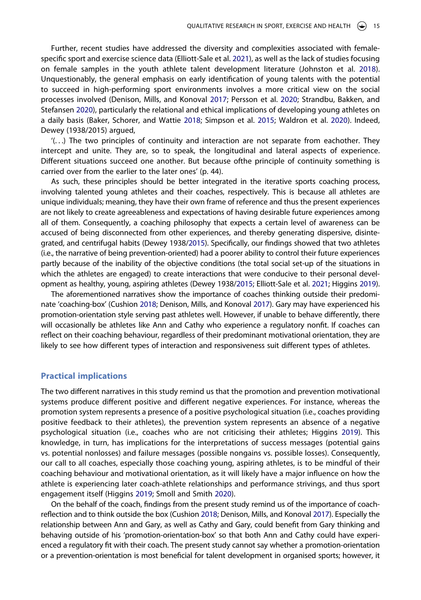Further, recent studies have addressed the diversity and complexities associated with femalespecific sport and exercise science data (Elliott-Sale et al. [2021](#page-17-19)), as well as the lack of studies focusing on female samples in the youth athlete talent development literature (Johnston et al. [2018\)](#page-18-11). Unquestionably, the general emphasis on early identification of young talents with the potential to succeed in high-performing sport environments involves a more critical view on the social processes involved (Denison, Mills, and Konoval [2017;](#page-17-17) Persson et al. [2020](#page-18-24); Strandbu, Bakken, and Stefansen [2020\)](#page-19-18), particularly the relational and ethical implications of developing young athletes on a daily basis (Baker, Schorer, and Wattie [2018](#page-17-6); Simpson et al. [2015;](#page-19-17) Waldron et al. [2020](#page-19-19)). Indeed, Dewey (1938/2015) argued,

<span id="page-15-4"></span><span id="page-15-3"></span><span id="page-15-2"></span>'(. . .) The two principles of continuity and interaction are not separate from eachother. They intercept and unite. They are, so to speak, the longitudinal and lateral aspects of experience. Different situations succeed one another. But because ofthe principle of continuity something is carried over from the earlier to the later ones' (p. 44).

As such, these principles should be better integrated in the iterative sports coaching process, involving talented young athletes and their coaches, respectively. This is because all athletes are unique individuals; meaning, they have their own frame of reference and thus the present experiences are not likely to create agreeableness and expectations of having desirable future experiences among all of them. Consequently, a coaching philosophy that expects a certain level of awareness can be accused of being disconnected from other experiences, and thereby generating dispersive, disintegrated, and centrifugal habits (Dewey 1938[/2015](#page-17-20)). Specifically, our findings showed that two athletes (i.e., the narrative of being prevention-oriented) had a poorer ability to control their future experiences partly because of the inability of the objective conditions (the total social set-up of the situations in which the athletes are engaged) to create interactions that were conducive to their personal development as healthy, young, aspiring athletes (Dewey 1938[/2015](#page-17-20); Elliott-Sale et al. [2021;](#page-17-19) Higgins [2019\)](#page-18-10).

<span id="page-15-1"></span>The aforementioned narratives show the importance of coaches thinking outside their predominate 'coaching-box' (Cushion [2018](#page-17-21); Denison, Mills, and Konoval [2017](#page-17-17)). Gary may have experienced his promotion-orientation style serving past athletes well. However, if unable to behave differently, there will occasionally be athletes like Ann and Cathy who experience a regulatory nonfit. If coaches can reflect on their coaching behaviour, regardless of their predominant motivational orientation, they are likely to see how different types of interaction and responsiveness suit different types of athletes.

#### **Practical implications**

The two different narratives in this study remind us that the promotion and prevention motivational systems produce different positive and different negative experiences. For instance, whereas the promotion system represents a presence of a positive psychological situation (i.e., coaches providing positive feedback to their athletes), the prevention system represents an absence of a negative psychological situation (i.e., coaches who are not criticising their athletes; Higgins [2019\)](#page-18-10). This knowledge, in turn, has implications for the interpretations of success messages (potential gains vs. potential nonlosses) and failure messages (possible nongains vs. possible losses). Consequently, our call to all coaches, especially those coaching young, aspiring athletes, is to be mindful of their coaching behaviour and motivational orientation, as it will likely have a major influence on how the athlete is experiencing later coach-athlete relationships and performance strivings, and thus sport engagement itself (Higgins [2019](#page-18-10); Smoll and Smith [2020](#page-19-4)).

<span id="page-15-0"></span>On the behalf of the coach, findings from the present study remind us of the importance of coachreflection and to think outside the box (Cushion [2018;](#page-17-21) Denison, Mills, and Konoval [2017](#page-17-17)). Especially the relationship between Ann and Gary, as well as Cathy and Gary, could benefit from Gary thinking and behaving outside of his 'promotion-orientation-box' so that both Ann and Cathy could have experienced a regulatory fit with their coach. The present study cannot say whether a promotion-orientation or a prevention-orientation is most beneficial for talent development in organised sports; however, it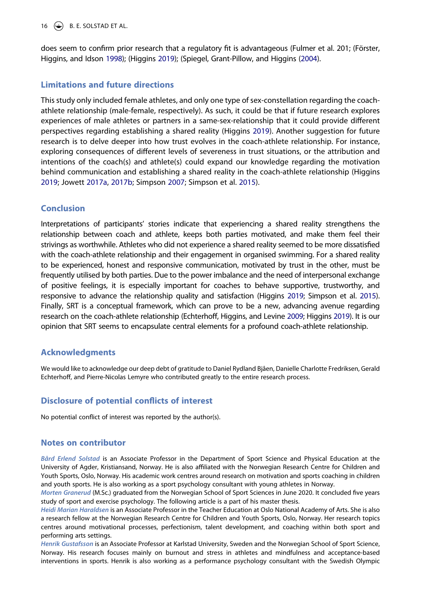16  $\leftrightarrow$  B. E. SOLSTAD ET AL.

does seem to confirm prior research that a regulatory fit is advantageous (Fulmer et al. 201; (Förster, Higgins, and Idson [1998](#page-17-8)); (Higgins [2019](#page-18-10)); (Spiegel, Grant-Pillow, and Higgins ([2004\)](#page-19-6).

# **Limitations and future directions**

This study only included female athletes, and only one type of sex-constellation regarding the coachathlete relationship (male-female, respectively). As such, it could be that if future research explores experiences of male athletes or partners in a same-sex-relationship that it could provide different perspectives regarding establishing a shared reality (Higgins [2019\)](#page-18-10). Another suggestion for future research is to delve deeper into how trust evolves in the coach-athlete relationship. For instance, exploring consequences of different levels of severeness in trust situations, or the attribution and intentions of the coach(s) and athlete(s) could expand our knowledge regarding the motivation behind communication and establishing a shared reality in the coach-athlete relationship (Higgins [2019;](#page-18-10) Jowett [2017a,](#page-18-7) [2017b](#page-18-0); Simpson [2007](#page-19-7); Simpson et al. [2015\)](#page-19-17).

# **Conclusion**

Interpretations of participants' stories indicate that experiencing a shared reality strengthens the relationship between coach and athlete, keeps both parties motivated, and make them feel their strivings as worthwhile. Athletes who did not experience a shared reality seemed to be more dissatisfied with the coach-athlete relationship and their engagement in organised swimming. For a shared reality to be experienced, honest and responsive communication, motivated by trust in the other, must be frequently utilised by both parties. Due to the power imbalance and the need of interpersonal exchange of positive feelings, it is especially important for coaches to behave supportive, trustworthy, and responsive to advance the relationship quality and satisfaction (Higgins [2019;](#page-18-10) Simpson et al. [2015\)](#page-19-17). Finally, SRT is a conceptual framework, which can prove to be a new, advancing avenue regarding research on the coach-athlete relationship (Echterhoff, Higgins, and Levine [2009](#page-17-3); Higgins [2019\)](#page-18-10). It is our opinion that SRT seems to encapsulate central elements for a profound coach-athlete relationship.

#### **Acknowledgments**

We would like to acknowledge our deep debt of gratitude to Daniel Rydland Bjåen, Danielle Charlotte Fredriksen, Gerald Echterhoff, and Pierre-Nicolas Lemyre who contributed greatly to the entire research process.

# **Disclosure of potential conflicts of interest**

No potential conflict of interest was reported by the author(s).

#### **Notes on contributor**

*Bård Erlend Solstad* is an Associate Professor in the Department of Sport Science and Physical Education at the University of Agder, Kristiansand, Norway. He is also affiliated with the Norwegian Research Centre for Children and Youth Sports, Oslo, Norway. His academic work centres around research on motivation and sports coaching in children and youth sports. He is also working as a sport psychology consultant with young athletes in Norway.

*Morten Granerud* (M.Sc.) graduated from the Norwegian School of Sport Sciences in June 2020. It concluded five years study of sport and exercise psychology. The following article is a part of his master thesis.

*Heidi Marian Haraldsen* is an Associate Professor in the Teacher Education at Oslo National Academy of Arts. She is also a research fellow at the Norwegian Research Centre for Children and Youth Sports, Oslo, Norway. Her research topics centres around motivational processes, perfectionism, talent development, and coaching within both sport and performing arts settings.

*Henrik Gustafsson* is an Associate Professor at Karlstad University, Sweden and the Norwegian School of Sport Science, Norway. His research focuses mainly on burnout and stress in athletes and mindfulness and acceptance-based interventions in sports. Henrik is also working as a performance psychology consultant with the Swedish Olympic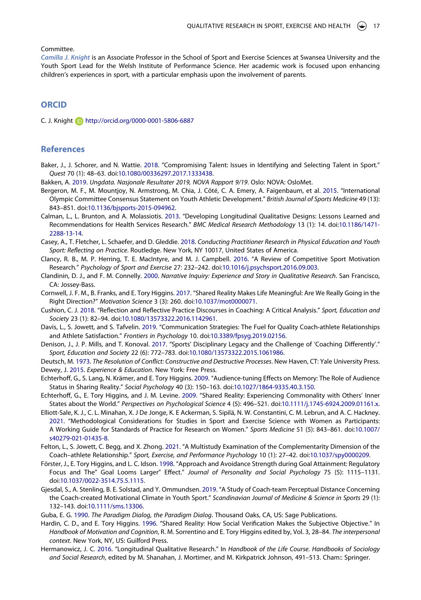#### Committee.

*Camilla J. Knight* is an Associate Professor in the School of Sport and Exercise Sciences at Swansea University and the Youth Sport Lead for the Welsh Institute of Performance Science. Her academic work is focused upon enhancing children's experiences in sport, with a particular emphasis upon the involvement of parents.

# **ORCID**

C. J. Knight http://orcid.org/0000-0001-5806-6887

#### **References**

- <span id="page-17-6"></span>Baker, J., J. Schorer, and N. Wattie. [2018](#page-2-0). "Compromising Talent: Issues in Identifying and Selecting Talent in Sport." *Quest* 70 (1): 48–63. doi:[10.1080/00336297.2017.1333438.](https://doi.org/10.1080/00336297.2017.1333438)
- <span id="page-17-16"></span>Bakken, A. [2019](#page-13-0). *Ungdata. Nasjonale Resultater 2019, NOVA Rapport 9/19*. Oslo: NOVA: OsloMet.
- <span id="page-17-7"></span>Bergeron, M. F., M. Mountjoy, N. Armstrong, M. Chia, J. Côté, C. A. Emery, A. Faigenbaum, et al. [2015.](#page-2-1) "International Olympic Committee Consensus Statement on Youth Athletic Development." *British Journal of Sports Medicine* 49 (13): 843–851. doi:[10.1136/bjsports-2015-094962.](https://doi.org/10.1136/bjsports-2015-094962)
- <span id="page-17-14"></span>Calman, L., L. Brunton, and A. Molassiotis. [2013.](#page-5-0) "Developing Longitudinal Qualitative Designs: Lessons Learned and Recommendations for Health Services Research." *BMC Medical Research Methodology* 13 (1): 14. doi:[10.1186/1471-](https://doi.org/10.1186/1471-2288-13-14) [2288-13-14.](https://doi.org/10.1186/1471-2288-13-14)
- <span id="page-17-10"></span>Casey, A., T. Fletcher, L. Schaefer, and D. Gleddie. [2018](#page-4-0). *Conducting Practitioner Research in Physical Education and Youth Sport: Reflecting on Practice*. Routledge. New York, NY 10017, United States of America.
- <span id="page-17-15"></span>Clancy, R. B., M. P. Herring, T. E. MacIntyre, and M. J. Campbell. [2016](#page-5-1). "A Review of Competitive Sport Motivation Research." *Psychology of Sport and Exercise* 27: 232–242. doi:[10.1016/j.psychsport.2016.09.003](https://doi.org/10.1016/j.psychsport.2016.09.003).
- <span id="page-17-12"></span>Clandinin, D. J., and F. M. Connelly. [2000](#page-4-1). *Narrative Inquiry: Experience and Story in Qualitative Research*. San Francisco, CA: Jossey-Bass.
- <span id="page-17-4"></span>Cornwell, J. F. M., B. Franks, and E. Tory Higgins. [2017.](#page-2-2) "Shared Reality Makes Life Meaningful: Are We Really Going in the Right Direction?" *Motivation Science* 3 (3): 260. doi:[10.1037/mot0000071.](https://doi.org/10.1037/mot0000071)
- <span id="page-17-21"></span>Cushion, C. J. [2018](#page-15-0). "Reflection and Reflective Practice Discourses in Coaching: A Critical Analysis." *Sport, Education and Society* 23 (1): 82–94. doi:[10.1080/13573322.2016.1142961](https://doi.org/10.1080/13573322.2016.1142961).
- <span id="page-17-1"></span>Davis, L., S. Jowett, and S. Tafvelin. [2019.](#page-2-3) "Communication Strategies: The Fuel for Quality Coach-athlete Relationships and Athlete Satisfaction." *Frontiers in Psychology* 10. doi:[10.3389/fpsyg.2019.02156](https://doi.org/10.3389/fpsyg.2019.02156).
- <span id="page-17-17"></span>Denison, J., J. P. Mills, and T. Konoval. [2017](#page-14-0). "Sports' Disciplinary Legacy and the Challenge of 'Coaching Differently'." *Sport, Education and Society* 22 (6): 772–783. doi:[10.1080/13573322.2015.1061986.](https://doi.org/10.1080/13573322.2015.1061986)

<span id="page-17-20"></span><span id="page-17-18"></span>Deutsch, M. [1973](#page-14-1). *The Resolution of Conflict: Constructive and Destructive Processes*. New Haven, CT: Yale University Press. Dewey, J. [2015](#page-15-1). *Experience & Education*. New York: Free Press.

- <span id="page-17-9"></span>Echterhoff, G., S. Lang, N. Krämer, and E. Tory Higgins. [2009](#page-3-0). "Audience-tuning Effects on Memory: The Role of Audience Status in Sharing Reality." *Social Psychology* 40 (3): 150–163. doi:[10.1027/1864-9335.40.3.150.](https://doi.org/10.1027/1864-9335.40.3.150)
- <span id="page-17-3"></span>Echterhoff, G., E. Tory Higgins, and J. M. Levine. [2009.](#page-2-4) "Shared Reality: Experiencing Commonality with Others' Inner States about the World." *Perspectives on Psychological Science* 4 (5): 496–521. doi:[10.1111/j.1745-6924.2009.01161.x.](https://doi.org/10.1111/j.1745-6924.2009.01161.x)
- <span id="page-17-19"></span>Elliott-Sale, K. J., C. L. Minahan, X. J De Jonge, K. E Ackerman, S. Sipilä, N. W. Constantini, C. M. Lebrun, and A. C. Hackney. [2021](#page-15-1). "Methodological Considerations for Studies in Sport and Exercise Science with Women as Participants: A Working Guide for Standards of Practice for Research on Women." *Sports Medicine* 51 (5): 843–861. doi:[10.1007/](https://doi.org/10.1007/s40279-021-01435-8) [s40279-021-01435-8.](https://doi.org/10.1007/s40279-021-01435-8)
- <span id="page-17-2"></span>Felton, L., S. Jowett, C. Begg, and X. Zhong. [2021](#page-2-5). "A Multistudy Examination of the Complementarity Dimension of the Coach–athlete Relationship." *Sport, Exercise, and Performance Psychology* 10 (1): 27–42. doi:[10.1037/spy0000209.](https://doi.org/10.1037/spy0000209)
- <span id="page-17-8"></span>Förster, J., E. Tory Higgins, and L. C. Idson. [1998](#page-3-1). "Approach and Avoidance Strength during Goal Attainment: Regulatory Focus and The" Goal Looms Larger" Effect." *Journal of Personality and Social Psychology* 75 (5): 1115–1131. doi:[10.1037/0022-3514.75.5.1115](https://doi.org/10.1037/0022-3514.75.5.1115).
- <span id="page-17-0"></span>Gjesdal, S., A. Stenling, B. E. Solstad, and Y. Ommundsen. [2019](#page-2-6). "A Study of Coach-team Perceptual Distance Concerning the Coach-created Motivational Climate in Youth Sport." *Scandinavian Journal of Medicine & Science in Sports* 29 (1): 132–143. doi:[10.1111/sms.13306](https://doi.org/10.1111/sms.13306).
- <span id="page-17-11"></span>Guba, E. G. [1990](#page-4-2). *The Paradigm Dialog, the Paradigm Dialog*. Thousand Oaks, CA, US: Sage Publications.
- <span id="page-17-5"></span>Hardin, C. D., and E. Tory Higgins. [1996](#page-2-7). "Shared Reality: How Social Verification Makes the Subjective Objective." In *Handbook of Motivation and Cognition*, R. M. Sorrentino and E. Tory Higgins edited by, Vol. 3, 28–84. *The interpersonal context*. New York, NY, US: Guilford Press.
- <span id="page-17-13"></span>Hermanowicz, J. C. [2016.](#page-5-0) "Longitudinal Qualitative Research." In *Handbook of the Life Course. Handbooks of Sociology and Social Research*, edited by M. Shanahan, J. Mortimer, and M. Kirkpatrick Johnson, 491–513. Cham:: Springer.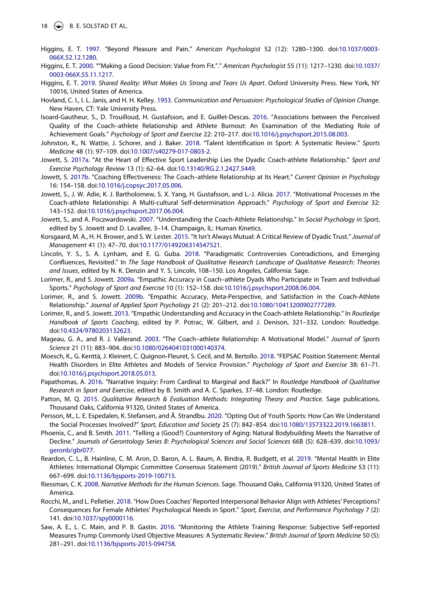- <span id="page-18-12"></span>Higgins, E. T. [1997.](#page-3-2) "Beyond Pleasure and Pain." *American Psychologist* 52 (12): 1280–1300. doi:[10.1037/0003-](https://doi.org/10.1037/0003-066X.52.12.1280) [066X.52.12.1280.](https://doi.org/10.1037/0003-066X.52.12.1280)
- <span id="page-18-13"></span>Higgins, E. T. [2000.](#page-3-1) ""Making a Good Decision: Value from Fit."." *American Psychologist* 55 (11): 1217–1230. doi:[10.1037/](https://doi.org/10.1037/0003-066X.55.11.1217) [0003-066X.55.11.1217.](https://doi.org/10.1037/0003-066X.55.11.1217)
- <span id="page-18-10"></span>Higgins, E. T. [2019](#page-2-7). *Shared Reality: What Makes Us Strong and Tears Us Apart*. Oxford University Press. New York, NY 10016, United States of America.
- <span id="page-18-14"></span>Hovland, C. I., I. L. Janis, and H. H. Kelley. [1953.](#page-3-3) *Communication and Persuasion: Psychological Studies of Opinion Change*. New Haven, CT: Yale University Press.
- <span id="page-18-2"></span>Isoard-Gautheur, S., D. Trouilloud, H. Gustafsson, and E. Guillet-Descas. [2016.](#page-2-8) "Associations between the Perceived Quality of the Coach–athlete Relationship and Athlete Burnout: An Examination of the Mediating Role of Achievement Goals." *Psychology of Sport and Exercise* 22: 210–217. doi:[10.1016/j.psychsport.2015.08.003](https://doi.org/10.1016/j.psychsport.2015.08.003).
- <span id="page-18-11"></span>Johnston, K., N. Wattie, J. Schorer, and J. Baker. [2018.](#page-2-0) "Talent Identification in Sport: A Systematic Review." *Sports Medicine* 48 (1): 97–109. doi:[10.1007/s40279-017-0803-2.](https://doi.org/10.1007/s40279-017-0803-2)
- <span id="page-18-7"></span>Jowett, S. [2017a.](#page-2-9) "At the Heart of Effective Sport Leadership Lies the Dyadic Coach-athlete Relationship." *Sport and Exercise Psychology Review* 13 (1): 62–64. doi:[10.13140/RG.2.1.2427.5449.](https://doi.org/10.13140/RG.2.1.2427.5449)
- <span id="page-18-0"></span>Jowett, S. [2017b.](#page-1-4) "Coaching Effectiveness: The Coach–athlete Relationship at Its Heart." *Current Opinion in Psychology*  16: 154–158. doi:[10.1016/j.copsyc.2017.05.006.](https://doi.org/10.1016/j.copsyc.2017.05.006)
- <span id="page-18-3"></span>Jowett, S., J. W. Adie, K. J. Bartholomew, S. X. Yang, H. Gustafsson, and L.-J. Alicia. [2017.](#page-2-8) "Motivational Processes in the Coach-athlete Relationship: A Multi-cultural Self-determination Approach." *Psychology of Sport and Exercise* 32: 143–152. doi:[10.1016/j.psychsport.2017.06.004](https://doi.org/10.1016/j.psychsport.2017.06.004).
- <span id="page-18-1"></span>Jowett, S., and A. Poczwardowski. [2007](#page-1-5). "Understanding the Coach-Athlete Relationship." In *Social Psychology in Sport*, edited by S. Jowett and D. Lavallee, 3–14. Champaign, IL: Human Kinetics.
- <span id="page-18-23"></span>Korsgaard, M. A., H. H. Brower, and S. W. Lester. [2015.](#page-14-2) "It Isn't Always Mutual: A Critical Review of Dyadic Trust." *Journal of Management* 41 (1): 47–70. doi:[10.1177/0149206314547521](https://doi.org/10.1177/0149206314547521).
- <span id="page-18-16"></span>Lincoln, Y. S., S. A. Lynham, and E. G. Guba. [2018.](#page-4-3) "Paradigmatic Controversies Contradictions, and Emerging Confluences, Revisited." In *The Sage Handbook of Qualitative Research Landscape of Qualitative Research: Theories and Issues*, edited by N. K. Denzin and Y. S. Lincoln, 108–150. Los Angeles, California: Sage.
- <span id="page-18-8"></span>Lorimer, R., and S. Jowett. [2009a](#page-2-10). "Empathic Accuracy in Coach–athlete Dyads Who Participate in Team and Individual Sports." *Psychology of Sport and Exercise* 10 (1): 152–158. doi:[10.1016/j.psychsport.2008.06.004](https://doi.org/10.1016/j.psychsport.2008.06.004).
- <span id="page-18-9"></span>Lorimer, R., and S. Jowett. [2009b.](#page-2-10) "Empathic Accuracy, Meta-Perspective, and Satisfaction in the Coach-Athlete Relationship." *Journal of Applied Sport Psychology* 21 (2): 201–212. doi:[10.1080/10413200902777289](https://doi.org/10.1080/10413200902777289).
- <span id="page-18-4"></span>Lorimer, R., and S. Jowett. [2013](#page-2-11). "Empathic Understanding and Accuracy in the Coach-athlete Relationship." In *Routledge Handbook of Sports Coaching*, edited by P. Potrac, W. Gilbert, and J. Denison, 321–332. London: Routledge. doi:[10.4324/9780203132623.](https://doi.org/10.4324/9780203132623)
- <span id="page-18-5"></span>Mageau, G. A., and R. J. Vallerand. [2003.](#page-2-12) "The Coach–athlete Relationship: A Motivational Model." *Journal of Sports Science* 21 (11): 883–904. doi:[10.1080/0264041031000140374](https://doi.org/10.1080/0264041031000140374).
- <span id="page-18-20"></span>Moesch, K., G. Kenttä, J. Kleinert, C. Quignon-Fleuret, S. Cecil, and M. Bertollo. [2018](#page-13-1). "FEPSAC Position Statement: Mental Health Disorders in Elite Athletes and Models of Service Provision." *Psychology of Sport and Exercise* 38: 61–71. doi:[10.1016/j.psychsport.2018.05.013.](https://doi.org/10.1016/j.psychsport.2018.05.013)
- <span id="page-18-15"></span>Papathomas, A. [2016.](#page-4-3) "Narrative Inquiry: From Cardinal to Marginal and Back?" In *Routledge Handbook of Qualitative Research in Sport and Exercise*, edited by B. Smith and A. C. Sparkes, 37–48. London: Routledge.
- <span id="page-18-18"></span>Patton, M. Q. [2015](#page-5-1). *Qualitative Research & Evaluation Methods: Integrating Theory and Practice*. Sage publications. Thousand Oaks, California 91320, United States of America.
- <span id="page-18-24"></span>Persson, M., L. E. Espedalen, K. Stefansen, and Å. Strandbu. [2020.](#page-15-2) "Opting Out of Youth Sports: How Can We Understand the Social Processes Involved?" *Sport, Education and Society* 25 (7): 842–854. doi:[10.1080/13573322.2019.1663811.](https://doi.org/10.1080/13573322.2019.1663811)
- <span id="page-18-19"></span>Phoenix, C., and B. Smith. [2011.](#page-7-0) "Telling a (Good?) Counterstory of Aging: Natural Bodybuilding Meets the Narrative of Decline." Journals of Gerontology Series B: Psychological Sciences and Social Sciences 66B (5): 628–639. doi:[10.1093/](https://doi.org/10.1093/geronb/gbr077) [geronb/gbr077](https://doi.org/10.1093/geronb/gbr077).
- <span id="page-18-21"></span>Reardon, C. L., B. Hainline, C. M. Aron, D. Baron, A. L. Baum, A. Bindra, R. Budgett, et al. [2019](#page-13-1). "Mental Health in Elite Athletes: International Olympic Committee Consensus Statement (2019)." *British Journal of Sports Medicine* 53 (11): 667–699. doi:[10.1136/bjsports-2019-100715.](https://doi.org/10.1136/bjsports-2019-100715)
- <span id="page-18-17"></span>Riessman, C. K. [2008](#page-4-4). *Narrative Methods for the Human Sciences*. Sage. Thousand Oaks, California 91320, United States of America.
- <span id="page-18-6"></span>Rocchi, M., and L. Pelletier. [2018](#page-2-6). "How Does Coaches' Reported Interpersonal Behavior Align with Athletes' Perceptions? Consequences for Female Athletes' Psychological Needs in Sport." *Sport, Exercise, and Performance Psychology* 7 (2): 141. doi:[10.1037/spy0000116.](https://doi.org/10.1037/spy0000116)
- <span id="page-18-22"></span>Saw, A. E., L. C. Main, and P. B. Gastin. [2016](#page-14-3). "Monitoring the Athlete Training Response: Subjective Self-reported Measures Trump Commonly Used Objective Measures: A Systematic Review." *British Journal of Sports Medicine* 50 (5): 281–291. doi:[10.1136/bjsports-2015-094758.](https://doi.org/10.1136/bjsports-2015-094758)